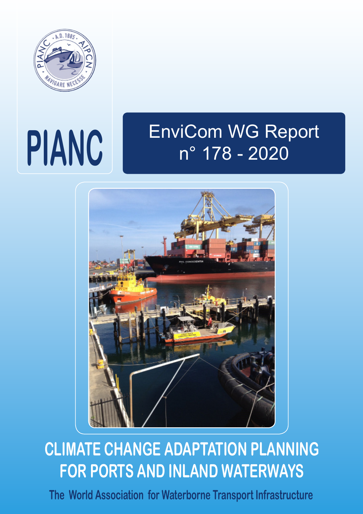

# **PIANC**

# EnviCom WG Report n° 178 - 2020



# **CLIMATE CHANGE ADAPTATION PLANNING FOR PORTS AND INLAND WATERWAYS**

**The World Association for Waterborne Transport Infrastructure**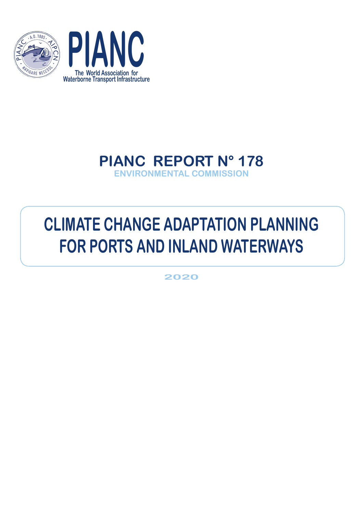



# **PIANC REPORT N° 178 ENVIRONMENTAL COMMISSION**

# **CLIMATE CHANGE ADAPTATION PLANNING FOR PORTS AND INLAND WATERWAYS**

**2020**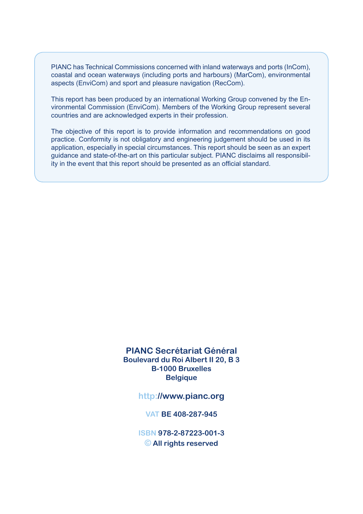PIANC has Technical Commissions concerned with inland waterways and ports (InCom), coastal and ocean waterways (including ports and harbours) (MarCom), environmental aspects (EnviCom) and sport and pleasure navigation (RecCom).

This report has been produced by an international Working Group convened by the Environmental Commission (EnviCom). Members of the Working Group represent several countries and are acknowledged experts in their profession.

The objective of this report is to provide information and recommendations on good practice. Conformity is not obligatory and engineering judgement should be used in its application, especially in special circumstances. This report should be seen as an expert guidance and state-of-the-art on this particular subject. PIANC disclaims all responsibility in the event that this report should be presented as an official standard.

#### **PIANC Secrétariat Général Boulevard du Roi Albert II 20, B 3 B-1000 Bruxelles Belgique**

#### **http://www.pianc.org**

#### **VAT BE 408-287-945**

**ISBN 978-2-87223-001-3 © All rights reserved**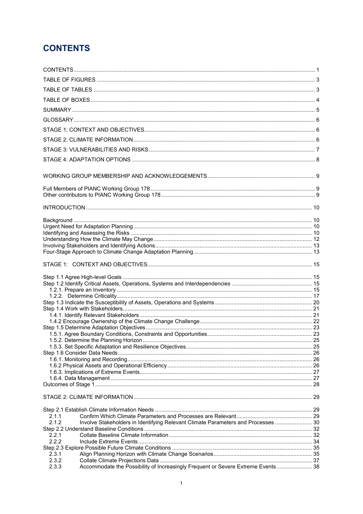## <span id="page-3-0"></span>**CONTENTS**

| 2.1.1<br>Involve Stakeholders in Identifying Relevant Climate Parameters and Processes  30<br>2.1.2 |  |
|-----------------------------------------------------------------------------------------------------|--|
|                                                                                                     |  |
| 2.2.1                                                                                               |  |
| 2.2.2                                                                                               |  |
| 2.3.1                                                                                               |  |
| 2.3.2                                                                                               |  |
| Accommodate the Possibility of Increasingly Frequent or Severe Extreme Events 38<br>2.3.3           |  |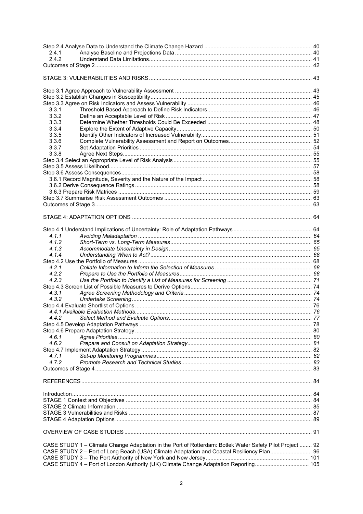| 2.4.1                                                                                                    |  |
|----------------------------------------------------------------------------------------------------------|--|
| 2.4.2                                                                                                    |  |
|                                                                                                          |  |
|                                                                                                          |  |
|                                                                                                          |  |
|                                                                                                          |  |
|                                                                                                          |  |
|                                                                                                          |  |
| 3.3.1                                                                                                    |  |
| 3.3.2                                                                                                    |  |
| 3.3.3                                                                                                    |  |
| 3.3.4                                                                                                    |  |
| 3.3.5                                                                                                    |  |
| 3.3.6                                                                                                    |  |
| 3.3.7                                                                                                    |  |
| 3.3.8                                                                                                    |  |
|                                                                                                          |  |
|                                                                                                          |  |
|                                                                                                          |  |
|                                                                                                          |  |
|                                                                                                          |  |
|                                                                                                          |  |
|                                                                                                          |  |
|                                                                                                          |  |
|                                                                                                          |  |
|                                                                                                          |  |
|                                                                                                          |  |
|                                                                                                          |  |
| 4.1.1                                                                                                    |  |
| 4.1.2                                                                                                    |  |
| 4.1.3                                                                                                    |  |
| 4.1.4                                                                                                    |  |
|                                                                                                          |  |
| 4.2.1                                                                                                    |  |
| 4.2.2                                                                                                    |  |
| 4.2.3                                                                                                    |  |
|                                                                                                          |  |
| 4.3.1                                                                                                    |  |
|                                                                                                          |  |
| 4.3.2                                                                                                    |  |
|                                                                                                          |  |
|                                                                                                          |  |
| 4.4.2                                                                                                    |  |
|                                                                                                          |  |
|                                                                                                          |  |
| 4.6.1                                                                                                    |  |
| 4.6.2                                                                                                    |  |
|                                                                                                          |  |
| 4.7.1                                                                                                    |  |
| 4.7.2                                                                                                    |  |
|                                                                                                          |  |
|                                                                                                          |  |
|                                                                                                          |  |
|                                                                                                          |  |
|                                                                                                          |  |
|                                                                                                          |  |
|                                                                                                          |  |
|                                                                                                          |  |
|                                                                                                          |  |
|                                                                                                          |  |
|                                                                                                          |  |
| CASE STUDY 1 - Climate Change Adaptation in the Port of Rotterdam: Botlek Water Safety Pilot Project  92 |  |
| CASE STUDY 2 - Port of Long Beach (USA) Climate Adaptation and Coastal Resiliency Plan 96                |  |
|                                                                                                          |  |
| CASE STUDY 4 - Port of London Authority (UK) Climate Change Adaptation Reporting 105                     |  |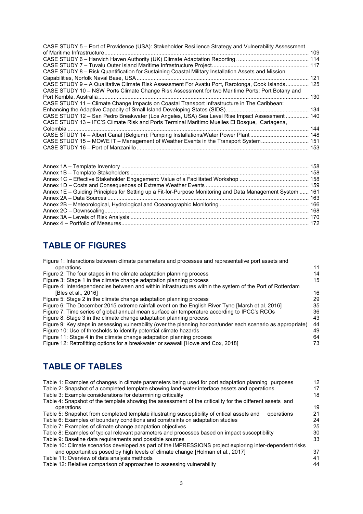| CASE STUDY 5 - Port of Providence (USA): Stakeholder Resilience Strategy and Vulnerability Assessment |     |
|-------------------------------------------------------------------------------------------------------|-----|
|                                                                                                       |     |
|                                                                                                       |     |
|                                                                                                       |     |
| CASE STUDY 8 - Risk Quantification for Sustaining Coastal Military Installation Assets and Mission    |     |
|                                                                                                       |     |
| CASE STUDY 9 - A Qualitative Climate Risk Assessment For Avatiu Port, Rarotonga, Cook Islands 125     |     |
| CASE STUDY 10 – NSW Ports Climate Change Risk Assessment for two Maritime Ports: Port Botany and      |     |
|                                                                                                       | 130 |
| CASE STUDY 11 - Climate Change Impacts on Coastal Transport Infrastructure in The Caribbean:          |     |
|                                                                                                       |     |
| CASE STUDY 12 - San Pedro Breakwater (Los Angeles, USA) Sea Level Rise Impact Assessment  140         |     |
| CASE STUDY 13 - IFC'S Climate Risk and Ports Terminal Maritimo Muelles El Bosque, Cartagena,          |     |
| Colombia.                                                                                             |     |
|                                                                                                       |     |
| CASE STUDY 15 - MOWE IT - Management of Weather Events in the Transport System 151                    |     |
|                                                                                                       |     |
|                                                                                                       |     |
|                                                                                                       |     |

| Annex 1E – Guiding Principles for Setting up a Fit-for-Purpose Monitoring and Data Management System  161 |  |
|-----------------------------------------------------------------------------------------------------------|--|
|                                                                                                           |  |
|                                                                                                           |  |
|                                                                                                           |  |
|                                                                                                           |  |
|                                                                                                           |  |
|                                                                                                           |  |

## <span id="page-5-0"></span>**TABLE OF FIGURES**

| Figure 1: Interactions between climate parameters and processes and representative port assets and            |    |
|---------------------------------------------------------------------------------------------------------------|----|
| operations                                                                                                    | 11 |
| Figure 2: The four stages in the climate adaptation planning process                                          | 14 |
| Figure 3: Stage 1 in the climate change adaptation planning process                                           | 15 |
| Figure 4: Interdependencies between and within infrastructures within the system of the Port of Rotterdam     |    |
| [Bles et al., 2016]                                                                                           | 16 |
| Figure 5: Stage 2 in the climate change adaptation planning process                                           | 29 |
| Figure 6: The December 2015 extreme rainfall event on the English River Tyne [Marsh et al. 2016]              | 35 |
| Figure 7: Time series of global annual mean surface air temperature according to IPCC's RCOs                  | 36 |
| Figure 8: Stage 3 in the climate change adaptation planning process                                           | 43 |
| Figure 9: Key steps in assessing vulnerability (over the planning horizon/under each scenario as appropriate) | 44 |
| Figure 10: Use of thresholds to identify potential climate hazards                                            | 49 |
| Figure 11: Stage 4 in the climate change adaptation planning process                                          | 64 |
| Figure 12: Retrofitting options for a breakwater or seawall [Howe and Cox, 2018]                              | 73 |

## <span id="page-5-1"></span>**TABLE OF TABLES**

| Table 1: Examples of changes in climate parameters being used for port adaptation planning purposes        | 12 |
|------------------------------------------------------------------------------------------------------------|----|
| Table 2: Snapshot of a completed template showing land-water interface assets and operations               | 17 |
| Table 3: Example considerations for determining criticality                                                | 18 |
| Table 4: Snapshot of the template showing the assessment of the criticality for the different assets and   |    |
| operations                                                                                                 | 19 |
| Table 5: Snapshot from completed template illustrating susceptibility of critical assets and<br>operations | 21 |
| Table 6: Examples of boundary conditions and constraints on adaptation studies                             | 24 |
| Table 7: Examples of climate change adaptation objectives                                                  | 25 |
| Table 8: Examples of typical relevant parameters and processes based on impact susceptibility              | 30 |
| Table 9: Baseline data requirements and possible sources                                                   | 33 |
| Table 10: Climate scenarios developed as part of the IMPRESSIONS project exploring inter-dependent risks   |    |
| and opportunities posed by high levels of climate change [Holman et al., 2017]                             | 37 |
| Table 11: Overview of data analysis methods                                                                | 41 |
| Table 12: Relative comparison of approaches to assessing vulnerability                                     | 44 |